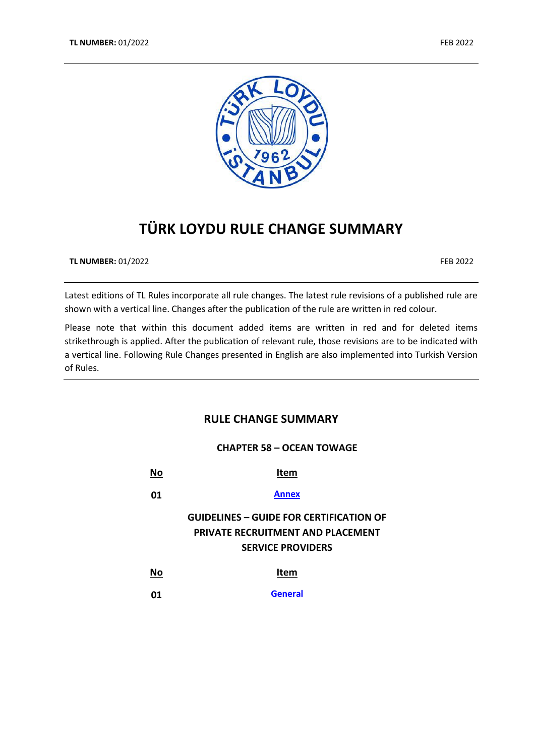



# **TÜRK LOYDU RULE CHANGE SUMMARY**

**TL NUMBER:** 01/2022 FEB 2022

Latest editions of TL Rules incorporate all rule changes. The latest rule revisions of a published rule are shown with a vertical line. Changes after the publication of the rule are written in red colour.

Please note that within this document added items are written in red and for deleted items strikethrough is applied. After the publication of relevant rule, those revisions are to be indicated with a vertical line. Following Rule Changes presented in English are also implemented into Turkish Version of Rules.

## **RULE CHANGE SUMMARY**

## **CHAPTER 58 – OCEAN TOWAGE**

| No | Item                                                                                                                   |
|----|------------------------------------------------------------------------------------------------------------------------|
| 01 | <b>Annex</b>                                                                                                           |
|    | <b>GUIDELINES – GUIDE FOR CERTIFICATION OF</b><br><b>PRIVATE RECRUITMENT AND PLACEMENT</b><br><b>SERVICE PROVIDERS</b> |
| No | Item                                                                                                                   |
| 01 | <b>General</b>                                                                                                         |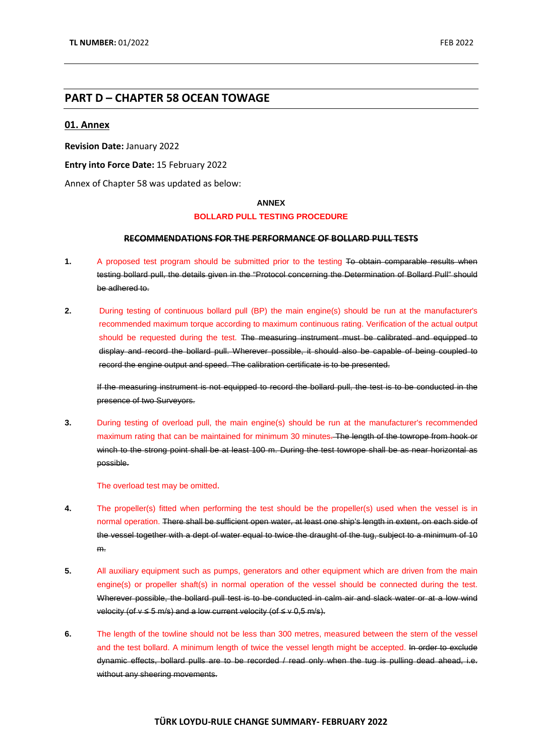## **PART D – CHAPTER 58 OCEAN TOWAGE**

#### <span id="page-1-0"></span>**01. Annex**

**Revision Date:** January 2022

**Entry into Force Date:** 15 February 2022

Annex of Chapter 58 was updated as below:

#### **ANNEX**

#### **BOLLARD PULL TESTING PROCEDURE**

#### **RECOMMENDATIONS FOR THE PERFORMANCE OF BOLLARD PULL TESTS**

- **1.** A proposed test program should be submitted prior to the testing To obtain comparable results when testing bollard pull, the details given in the "Protocol concerning the Determination of Bollard Pull" should be adhered to.
- **2.** During testing of continuous bollard pull (BP) the main engine(s) should be run at the manufacturer's recommended maximum torque according to maximum continuous rating. Verification of the actual output should be requested during the test. The measuring instrument must be calibrated and equipped to display and record the bollard pull. Wherever possible, it should also be capable of being coupled to record the engine output and speed. The calibration certificate is to be presented.

If the measuring instrument is not equipped to record the bollard pull, the test is to be conducted in the presence of two Surveyors.

**3.** During testing of overload pull, the main engine(s) should be run at the manufacturer's recommended maximum rating that can be maintained for minimum 30 minutes. The length of the towrope from hook or winch to the strong point shall be at least 100 m. During the test towrope shall be as near horizontal as possible.

The overload test may be omitted.

- **4.** The propeller(s) fitted when performing the test should be the propeller(s) used when the vessel is in normal operation. There shall be sufficient open water, at least one ship's length in extent, on each side of the vessel together with a dept of water equal to twice the draught of the tug, subject to a minimum of 10 m.
- **5.** All auxiliary equipment such as pumps, generators and other equipment which are driven from the main engine(s) or propeller shaft(s) in normal operation of the vessel should be connected during the test. Wherever possible, the bollard pull test is to be conducted in calm air and slack water or at a low wind velocity (of  $v ≤ 5$  m/s) and a low current velocity (of  $≤ v$  0,5 m/s).
- **6.** The length of the towline should not be less than 300 metres, measured between the stern of the vessel and the test bollard. A minimum length of twice the vessel length might be accepted. In order to exclude dynamic effects, bollard pulls are to be recorded / read only when the tug is pulling dead ahead, i.e. without any sheering movements.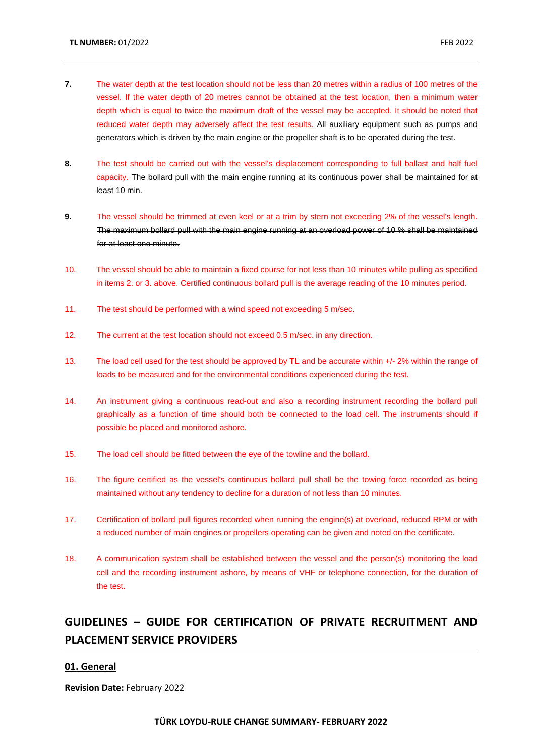- **7.** The water depth at the test location should not be less than 20 metres within a radius of 100 metres of the vessel. If the water depth of 20 metres cannot be obtained at the test location, then a minimum water depth which is equal to twice the maximum draft of the vessel may be accepted. It should be noted that reduced water depth may adversely affect the test results. All auxiliary equipment such as pumps and generators which is driven by the main engine or the propeller shaft is to be operated during the test.
- **8.** The test should be carried out with the vessel's displacement corresponding to full ballast and half fuel capacity. The bollard pull with the main engine running at its continuous power shall be maintained for at least 10 min.
- **9.** The vessel should be trimmed at even keel or at a trim by stern not exceeding 2% of the vessel's length. The maximum bollard pull with the main engine running at an overload power of 10 % shall be maintained for at least one minute.
- 10. The vessel should be able to maintain a fixed course for not less than 10 minutes while pulling as specified in items 2. or 3. above. Certified continuous bollard pull is the average reading of the 10 minutes period.
- 11. The test should be performed with a wind speed not exceeding 5 m/sec.
- 12. The current at the test location should not exceed 0.5 m/sec. in any direction.
- 13. The load cell used for the test should be approved by **TL** and be accurate within +/- 2% within the range of loads to be measured and for the environmental conditions experienced during the test.
- 14. An instrument giving a continuous read-out and also a recording instrument recording the bollard pull graphically as a function of time should both be connected to the load cell. The instruments should if possible be placed and monitored ashore.
- 15. The load cell should be fitted between the eye of the towline and the bollard.
- 16. The figure certified as the vessel's continuous bollard pull shall be the towing force recorded as being maintained without any tendency to decline for a duration of not less than 10 minutes.
- 17. Certification of bollard pull figures recorded when running the engine(s) at overload, reduced RPM or with a reduced number of main engines or propellers operating can be given and noted on the certificate.
- 18. A communication system shall be established between the vessel and the person(s) monitoring the load cell and the recording instrument ashore, by means of VHF or telephone connection, for the duration of the test.

## **GUIDELINES – GUIDE FOR CERTIFICATION OF PRIVATE RECRUITMENT AND PLACEMENT SERVICE PROVIDERS**

#### <span id="page-2-0"></span>**01. General**

**Revision Date:** February 2022